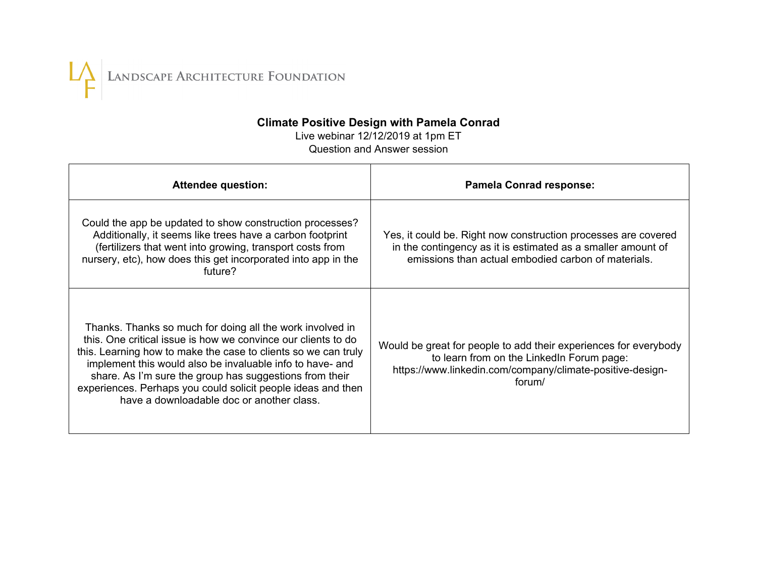

## **Climate Positive Design with Pamela Conrad**

Live webinar 12/12/2019 at 1pm ET Question and Answer session

| <b>Attendee question:</b>                                                                                                                                                                                                                                                                                                                                                                                                         | <b>Pamela Conrad response:</b>                                                                                                                                                        |
|-----------------------------------------------------------------------------------------------------------------------------------------------------------------------------------------------------------------------------------------------------------------------------------------------------------------------------------------------------------------------------------------------------------------------------------|---------------------------------------------------------------------------------------------------------------------------------------------------------------------------------------|
| Could the app be updated to show construction processes?<br>Additionally, it seems like trees have a carbon footprint<br>(fertilizers that went into growing, transport costs from<br>nursery, etc), how does this get incorporated into app in the<br>future?                                                                                                                                                                    | Yes, it could be. Right now construction processes are covered<br>in the contingency as it is estimated as a smaller amount of<br>emissions than actual embodied carbon of materials. |
| Thanks. Thanks so much for doing all the work involved in<br>this. One critical issue is how we convince our clients to do<br>this. Learning how to make the case to clients so we can truly<br>implement this would also be invaluable info to have- and<br>share. As I'm sure the group has suggestions from their<br>experiences. Perhaps you could solicit people ideas and then<br>have a downloadable doc or another class. | Would be great for people to add their experiences for everybody<br>to learn from on the LinkedIn Forum page:<br>https://www.linkedin.com/company/climate-positive-design-<br>forum/  |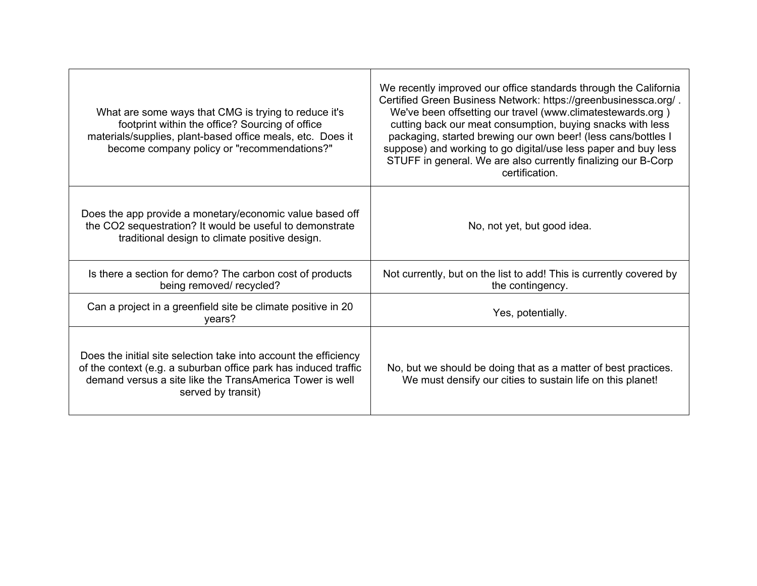| What are some ways that CMG is trying to reduce it's<br>footprint within the office? Sourcing of office<br>materials/supplies, plant-based office meals, etc. Does it<br>become company policy or "recommendations?"  | We recently improved our office standards through the California<br>Certified Green Business Network: https://greenbusinessca.org/.<br>We've been offsetting our travel (www.climatestewards.org)<br>cutting back our meat consumption, buying snacks with less<br>packaging, started brewing our own beer! (less cans/bottles I<br>suppose) and working to go digital/use less paper and buy less<br>STUFF in general. We are also currently finalizing our B-Corp<br>certification. |
|-----------------------------------------------------------------------------------------------------------------------------------------------------------------------------------------------------------------------|---------------------------------------------------------------------------------------------------------------------------------------------------------------------------------------------------------------------------------------------------------------------------------------------------------------------------------------------------------------------------------------------------------------------------------------------------------------------------------------|
| Does the app provide a monetary/economic value based off<br>the CO2 sequestration? It would be useful to demonstrate<br>traditional design to climate positive design.                                                | No, not yet, but good idea.                                                                                                                                                                                                                                                                                                                                                                                                                                                           |
| Is there a section for demo? The carbon cost of products<br>being removed/recycled?                                                                                                                                   | Not currently, but on the list to add! This is currently covered by<br>the contingency.                                                                                                                                                                                                                                                                                                                                                                                               |
| Can a project in a greenfield site be climate positive in 20<br>years?                                                                                                                                                | Yes, potentially.                                                                                                                                                                                                                                                                                                                                                                                                                                                                     |
| Does the initial site selection take into account the efficiency<br>of the context (e.g. a suburban office park has induced traffic<br>demand versus a site like the TransAmerica Tower is well<br>served by transit) | No, but we should be doing that as a matter of best practices.<br>We must densify our cities to sustain life on this planet!                                                                                                                                                                                                                                                                                                                                                          |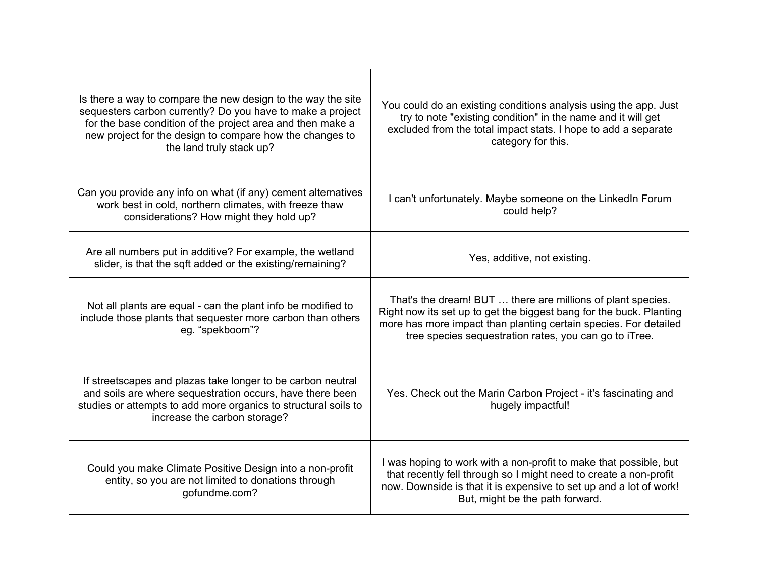| Is there a way to compare the new design to the way the site<br>sequesters carbon currently? Do you have to make a project<br>for the base condition of the project area and then make a<br>new project for the design to compare how the changes to<br>the land truly stack up? | You could do an existing conditions analysis using the app. Just<br>try to note "existing condition" in the name and it will get<br>excluded from the total impact stats. I hope to add a separate<br>category for this.                                         |
|----------------------------------------------------------------------------------------------------------------------------------------------------------------------------------------------------------------------------------------------------------------------------------|------------------------------------------------------------------------------------------------------------------------------------------------------------------------------------------------------------------------------------------------------------------|
| Can you provide any info on what (if any) cement alternatives<br>work best in cold, northern climates, with freeze thaw<br>considerations? How might they hold up?                                                                                                               | I can't unfortunately. Maybe someone on the LinkedIn Forum<br>could help?                                                                                                                                                                                        |
| Are all numbers put in additive? For example, the wetland<br>slider, is that the sqft added or the existing/remaining?                                                                                                                                                           | Yes, additive, not existing.                                                                                                                                                                                                                                     |
| Not all plants are equal - can the plant info be modified to<br>include those plants that sequester more carbon than others<br>eg. "spekboom"?                                                                                                                                   | That's the dream! BUT  there are millions of plant species.<br>Right now its set up to get the biggest bang for the buck. Planting<br>more has more impact than planting certain species. For detailed<br>tree species sequestration rates, you can go to iTree. |
| If streetscapes and plazas take longer to be carbon neutral<br>and soils are where sequestration occurs, have there been<br>studies or attempts to add more organics to structural soils to<br>increase the carbon storage?                                                      | Yes. Check out the Marin Carbon Project - it's fascinating and<br>hugely impactful!                                                                                                                                                                              |
| Could you make Climate Positive Design into a non-profit<br>entity, so you are not limited to donations through<br>gofundme.com?                                                                                                                                                 | I was hoping to work with a non-profit to make that possible, but<br>that recently fell through so I might need to create a non-profit<br>now. Downside is that it is expensive to set up and a lot of work!<br>But, might be the path forward.                  |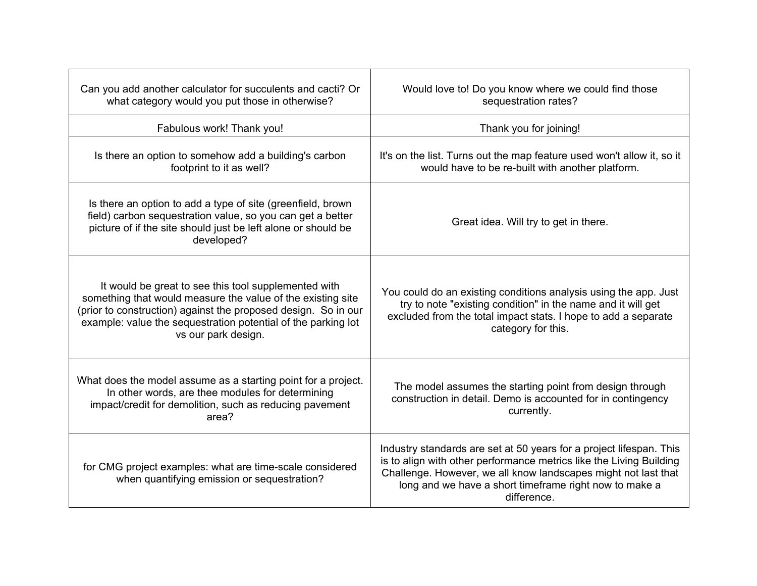| Can you add another calculator for succulents and cacti? Or<br>what category would you put those in otherwise?                                                                                                                                                                | Would love to! Do you know where we could find those<br>sequestration rates?                                                                                                                                                                                                          |
|-------------------------------------------------------------------------------------------------------------------------------------------------------------------------------------------------------------------------------------------------------------------------------|---------------------------------------------------------------------------------------------------------------------------------------------------------------------------------------------------------------------------------------------------------------------------------------|
| Fabulous work! Thank you!                                                                                                                                                                                                                                                     | Thank you for joining!                                                                                                                                                                                                                                                                |
| Is there an option to somehow add a building's carbon<br>footprint to it as well?                                                                                                                                                                                             | It's on the list. Turns out the map feature used won't allow it, so it<br>would have to be re-built with another platform.                                                                                                                                                            |
| Is there an option to add a type of site (greenfield, brown<br>field) carbon sequestration value, so you can get a better<br>picture of if the site should just be left alone or should be<br>developed?                                                                      | Great idea. Will try to get in there.                                                                                                                                                                                                                                                 |
| It would be great to see this tool supplemented with<br>something that would measure the value of the existing site<br>(prior to construction) against the proposed design. So in our<br>example: value the sequestration potential of the parking lot<br>vs our park design. | You could do an existing conditions analysis using the app. Just<br>try to note "existing condition" in the name and it will get<br>excluded from the total impact stats. I hope to add a separate<br>category for this.                                                              |
| What does the model assume as a starting point for a project.<br>In other words, are thee modules for determining<br>impact/credit for demolition, such as reducing pavement<br>area?                                                                                         | The model assumes the starting point from design through<br>construction in detail. Demo is accounted for in contingency<br>currently.                                                                                                                                                |
| for CMG project examples: what are time-scale considered<br>when quantifying emission or sequestration?                                                                                                                                                                       | Industry standards are set at 50 years for a project lifespan. This<br>is to align with other performance metrics like the Living Building<br>Challenge. However, we all know landscapes might not last that<br>long and we have a short timeframe right now to make a<br>difference. |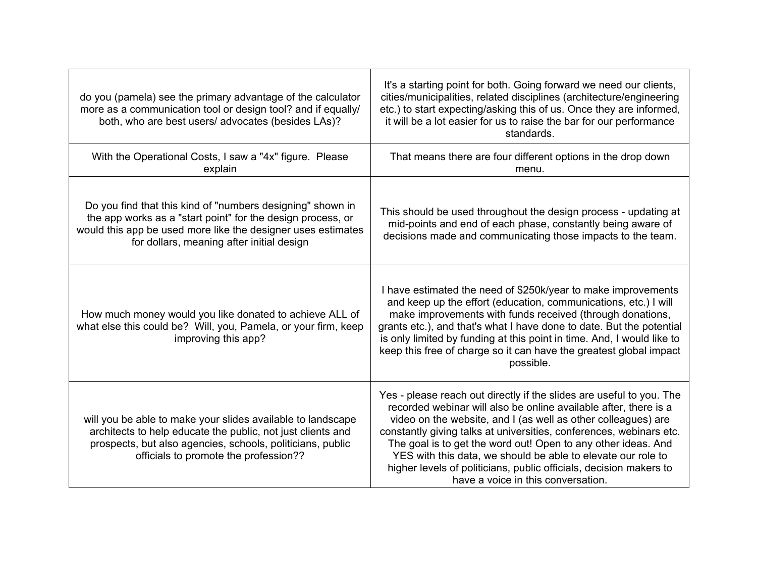| do you (pamela) see the primary advantage of the calculator<br>more as a communication tool or design tool? and if equally/<br>both, who are best users/ advocates (besides LAs)?                                                      | It's a starting point for both. Going forward we need our clients,<br>cities/municipalities, related disciplines (architecture/engineering<br>etc.) to start expecting/asking this of us. Once they are informed,<br>it will be a lot easier for us to raise the bar for our performance<br>standards.                                                                                                                                                                                                                        |
|----------------------------------------------------------------------------------------------------------------------------------------------------------------------------------------------------------------------------------------|-------------------------------------------------------------------------------------------------------------------------------------------------------------------------------------------------------------------------------------------------------------------------------------------------------------------------------------------------------------------------------------------------------------------------------------------------------------------------------------------------------------------------------|
| With the Operational Costs, I saw a "4x" figure. Please<br>explain                                                                                                                                                                     | That means there are four different options in the drop down<br>menu.                                                                                                                                                                                                                                                                                                                                                                                                                                                         |
| Do you find that this kind of "numbers designing" shown in<br>the app works as a "start point" for the design process, or<br>would this app be used more like the designer uses estimates<br>for dollars, meaning after initial design | This should be used throughout the design process - updating at<br>mid-points and end of each phase, constantly being aware of<br>decisions made and communicating those impacts to the team.                                                                                                                                                                                                                                                                                                                                 |
| How much money would you like donated to achieve ALL of<br>what else this could be? Will, you, Pamela, or your firm, keep<br>improving this app?                                                                                       | I have estimated the need of \$250k/year to make improvements<br>and keep up the effort (education, communications, etc.) I will<br>make improvements with funds received (through donations,<br>grants etc.), and that's what I have done to date. But the potential<br>is only limited by funding at this point in time. And, I would like to<br>keep this free of charge so it can have the greatest global impact<br>possible.                                                                                            |
| will you be able to make your slides available to landscape<br>architects to help educate the public, not just clients and<br>prospects, but also agencies, schools, politicians, public<br>officials to promote the profession??      | Yes - please reach out directly if the slides are useful to you. The<br>recorded webinar will also be online available after, there is a<br>video on the website, and I (as well as other colleagues) are<br>constantly giving talks at universities, conferences, webinars etc.<br>The goal is to get the word out! Open to any other ideas. And<br>YES with this data, we should be able to elevate our role to<br>higher levels of politicians, public officials, decision makers to<br>have a voice in this conversation. |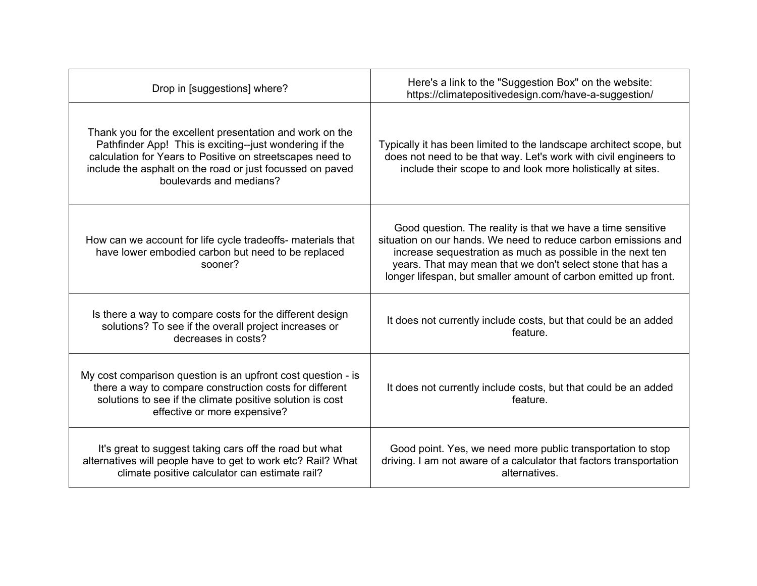| Drop in [suggestions] where?                                                                                                                                                                                                                                             | Here's a link to the "Suggestion Box" on the website:<br>https://climatepositivedesign.com/have-a-suggestion/                                                                                                                                                                                                                |
|--------------------------------------------------------------------------------------------------------------------------------------------------------------------------------------------------------------------------------------------------------------------------|------------------------------------------------------------------------------------------------------------------------------------------------------------------------------------------------------------------------------------------------------------------------------------------------------------------------------|
| Thank you for the excellent presentation and work on the<br>Pathfinder App! This is exciting--just wondering if the<br>calculation for Years to Positive on streetscapes need to<br>include the asphalt on the road or just focussed on paved<br>boulevards and medians? | Typically it has been limited to the landscape architect scope, but<br>does not need to be that way. Let's work with civil engineers to<br>include their scope to and look more holistically at sites.                                                                                                                       |
| How can we account for life cycle tradeoffs- materials that<br>have lower embodied carbon but need to be replaced<br>sooner?                                                                                                                                             | Good question. The reality is that we have a time sensitive<br>situation on our hands. We need to reduce carbon emissions and<br>increase sequestration as much as possible in the next ten<br>years. That may mean that we don't select stone that has a<br>longer lifespan, but smaller amount of carbon emitted up front. |
| Is there a way to compare costs for the different design<br>solutions? To see if the overall project increases or<br>decreases in costs?                                                                                                                                 | It does not currently include costs, but that could be an added<br>feature.                                                                                                                                                                                                                                                  |
| My cost comparison question is an upfront cost question - is<br>there a way to compare construction costs for different<br>solutions to see if the climate positive solution is cost<br>effective or more expensive?                                                     | It does not currently include costs, but that could be an added<br>feature.                                                                                                                                                                                                                                                  |
| It's great to suggest taking cars off the road but what<br>alternatives will people have to get to work etc? Rail? What<br>climate positive calculator can estimate rail?                                                                                                | Good point. Yes, we need more public transportation to stop<br>driving. I am not aware of a calculator that factors transportation<br>alternatives.                                                                                                                                                                          |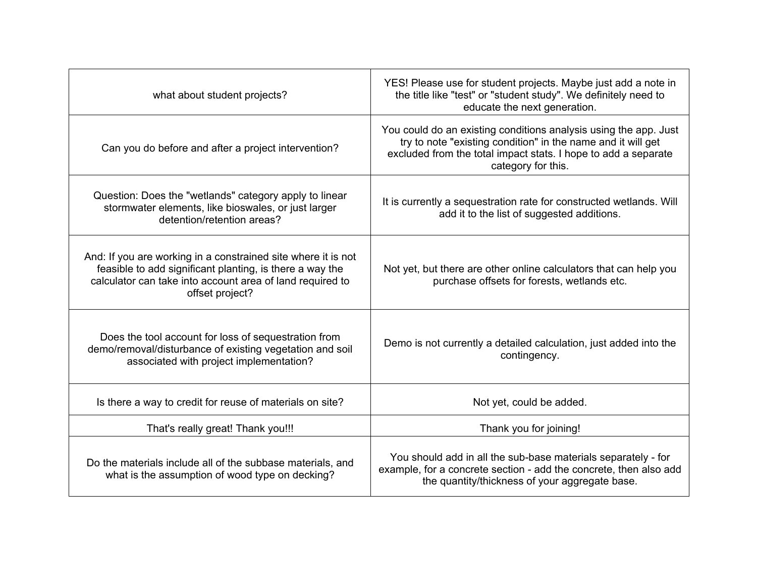| what about student projects?                                                                                                                                                                              | YES! Please use for student projects. Maybe just add a note in<br>the title like "test" or "student study". We definitely need to<br>educate the next generation.                                                        |
|-----------------------------------------------------------------------------------------------------------------------------------------------------------------------------------------------------------|--------------------------------------------------------------------------------------------------------------------------------------------------------------------------------------------------------------------------|
| Can you do before and after a project intervention?                                                                                                                                                       | You could do an existing conditions analysis using the app. Just<br>try to note "existing condition" in the name and it will get<br>excluded from the total impact stats. I hope to add a separate<br>category for this. |
| Question: Does the "wetlands" category apply to linear<br>stormwater elements, like bioswales, or just larger<br>detention/retention areas?                                                               | It is currently a sequestration rate for constructed wetlands. Will<br>add it to the list of suggested additions.                                                                                                        |
| And: If you are working in a constrained site where it is not<br>feasible to add significant planting, is there a way the<br>calculator can take into account area of land required to<br>offset project? | Not yet, but there are other online calculators that can help you<br>purchase offsets for forests, wetlands etc.                                                                                                         |
| Does the tool account for loss of sequestration from<br>demo/removal/disturbance of existing vegetation and soil<br>associated with project implementation?                                               | Demo is not currently a detailed calculation, just added into the<br>contingency.                                                                                                                                        |
| Is there a way to credit for reuse of materials on site?                                                                                                                                                  | Not yet, could be added.                                                                                                                                                                                                 |
| That's really great! Thank you!!!                                                                                                                                                                         | Thank you for joining!                                                                                                                                                                                                   |
| Do the materials include all of the subbase materials, and<br>what is the assumption of wood type on decking?                                                                                             | You should add in all the sub-base materials separately - for<br>example, for a concrete section - add the concrete, then also add<br>the quantity/thickness of your aggregate base.                                     |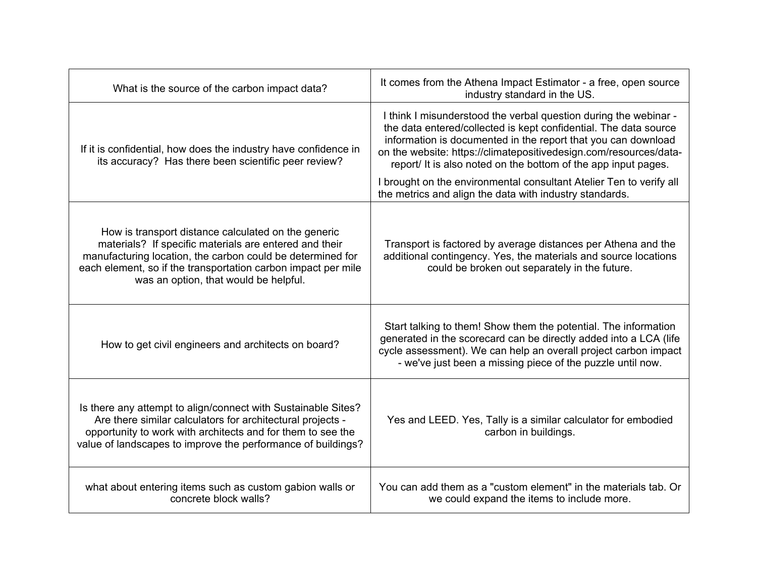| What is the source of the carbon impact data?                                                                                                                                                                                                                                         | It comes from the Athena Impact Estimator - a free, open source<br>industry standard in the US.                                                                                                                                                                                                                                              |
|---------------------------------------------------------------------------------------------------------------------------------------------------------------------------------------------------------------------------------------------------------------------------------------|----------------------------------------------------------------------------------------------------------------------------------------------------------------------------------------------------------------------------------------------------------------------------------------------------------------------------------------------|
| If it is confidential, how does the industry have confidence in<br>its accuracy? Has there been scientific peer review?                                                                                                                                                               | I think I misunderstood the verbal question during the webinar -<br>the data entered/collected is kept confidential. The data source<br>information is documented in the report that you can download<br>on the website: https://climatepositivedesign.com/resources/data-<br>report/ It is also noted on the bottom of the app input pages. |
|                                                                                                                                                                                                                                                                                       | I brought on the environmental consultant Atelier Ten to verify all<br>the metrics and align the data with industry standards.                                                                                                                                                                                                               |
| How is transport distance calculated on the generic<br>materials? If specific materials are entered and their<br>manufacturing location, the carbon could be determined for<br>each element, so if the transportation carbon impact per mile<br>was an option, that would be helpful. | Transport is factored by average distances per Athena and the<br>additional contingency. Yes, the materials and source locations<br>could be broken out separately in the future.                                                                                                                                                            |
| How to get civil engineers and architects on board?                                                                                                                                                                                                                                   | Start talking to them! Show them the potential. The information<br>generated in the scorecard can be directly added into a LCA (life<br>cycle assessment). We can help an overall project carbon impact<br>- we've just been a missing piece of the puzzle until now.                                                                        |
| Is there any attempt to align/connect with Sustainable Sites?<br>Are there similar calculators for architectural projects -<br>opportunity to work with architects and for them to see the<br>value of landscapes to improve the performance of buildings?                            | Yes and LEED. Yes, Tally is a similar calculator for embodied<br>carbon in buildings.                                                                                                                                                                                                                                                        |
| what about entering items such as custom gabion walls or<br>concrete block walls?                                                                                                                                                                                                     | You can add them as a "custom element" in the materials tab. Or<br>we could expand the items to include more.                                                                                                                                                                                                                                |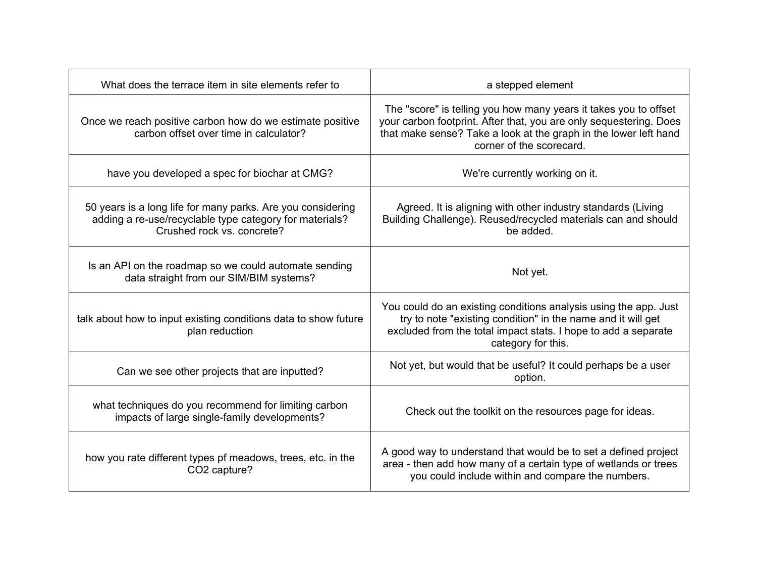| What does the terrace item in site elements refer to                                                                                                 | a stepped element                                                                                                                                                                                                                      |
|------------------------------------------------------------------------------------------------------------------------------------------------------|----------------------------------------------------------------------------------------------------------------------------------------------------------------------------------------------------------------------------------------|
| Once we reach positive carbon how do we estimate positive<br>carbon offset over time in calculator?                                                  | The "score" is telling you how many years it takes you to offset<br>your carbon footprint. After that, you are only sequestering. Does<br>that make sense? Take a look at the graph in the lower left hand<br>corner of the scorecard. |
| have you developed a spec for biochar at CMG?                                                                                                        | We're currently working on it.                                                                                                                                                                                                         |
| 50 years is a long life for many parks. Are you considering<br>adding a re-use/recyclable type category for materials?<br>Crushed rock vs. concrete? | Agreed. It is aligning with other industry standards (Living<br>Building Challenge). Reused/recycled materials can and should<br>be added.                                                                                             |
| Is an API on the roadmap so we could automate sending<br>data straight from our SIM/BIM systems?                                                     | Not yet.                                                                                                                                                                                                                               |
| talk about how to input existing conditions data to show future<br>plan reduction                                                                    | You could do an existing conditions analysis using the app. Just<br>try to note "existing condition" in the name and it will get<br>excluded from the total impact stats. I hope to add a separate<br>category for this.               |
| Can we see other projects that are inputted?                                                                                                         | Not yet, but would that be useful? It could perhaps be a user<br>option.                                                                                                                                                               |
| what techniques do you recommend for limiting carbon<br>impacts of large single-family developments?                                                 | Check out the toolkit on the resources page for ideas.                                                                                                                                                                                 |
| how you rate different types pf meadows, trees, etc. in the<br>CO2 capture?                                                                          | A good way to understand that would be to set a defined project<br>area - then add how many of a certain type of wetlands or trees<br>you could include within and compare the numbers.                                                |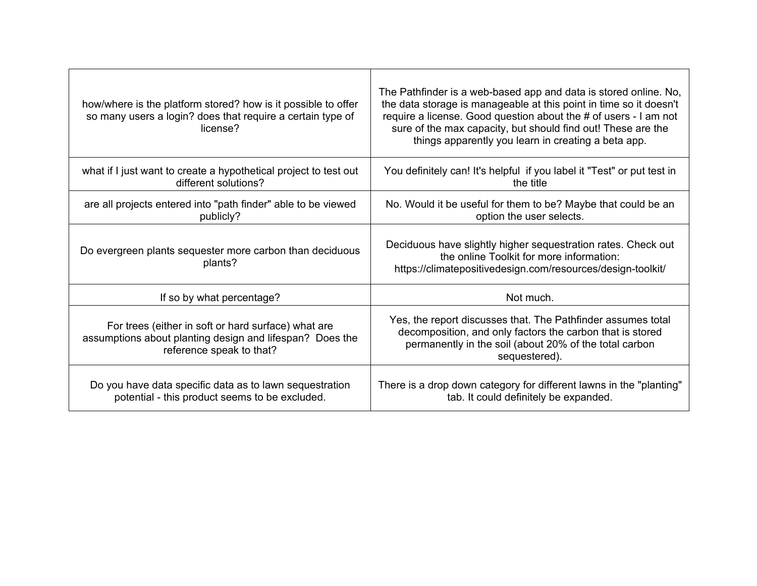| how/where is the platform stored? how is it possible to offer<br>so many users a login? does that require a certain type of<br>license?     | The Pathfinder is a web-based app and data is stored online. No,<br>the data storage is manageable at this point in time so it doesn't<br>require a license. Good question about the # of users - I am not<br>sure of the max capacity, but should find out! These are the<br>things apparently you learn in creating a beta app. |
|---------------------------------------------------------------------------------------------------------------------------------------------|-----------------------------------------------------------------------------------------------------------------------------------------------------------------------------------------------------------------------------------------------------------------------------------------------------------------------------------|
| what if I just want to create a hypothetical project to test out<br>different solutions?                                                    | You definitely can! It's helpful if you label it "Test" or put test in<br>the title                                                                                                                                                                                                                                               |
| are all projects entered into "path finder" able to be viewed<br>publicly?                                                                  | No. Would it be useful for them to be? Maybe that could be an<br>option the user selects.                                                                                                                                                                                                                                         |
| Do evergreen plants sequester more carbon than deciduous<br>plants?                                                                         | Deciduous have slightly higher sequestration rates. Check out<br>the online Toolkit for more information:<br>https://climatepositivedesign.com/resources/design-toolkit/                                                                                                                                                          |
| If so by what percentage?                                                                                                                   | Not much.                                                                                                                                                                                                                                                                                                                         |
| For trees (either in soft or hard surface) what are<br>assumptions about planting design and lifespan? Does the<br>reference speak to that? | Yes, the report discusses that. The Pathfinder assumes total<br>decomposition, and only factors the carbon that is stored<br>permanently in the soil (about 20% of the total carbon<br>sequestered).                                                                                                                              |
| Do you have data specific data as to lawn sequestration<br>potential - this product seems to be excluded.                                   | There is a drop down category for different lawns in the "planting"<br>tab. It could definitely be expanded.                                                                                                                                                                                                                      |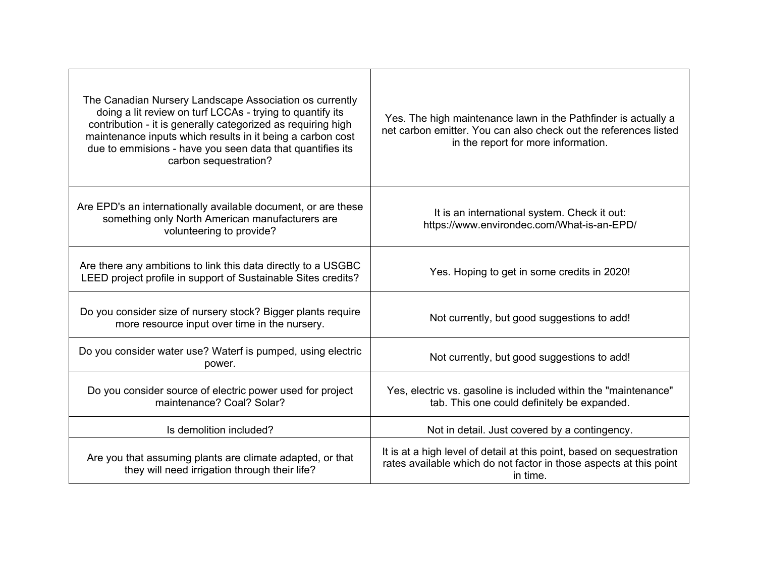| The Canadian Nursery Landscape Association os currently<br>doing a lit review on turf LCCAs - trying to quantify its<br>contribution - it is generally categorized as requiring high<br>maintenance inputs which results in it being a carbon cost<br>due to emmisions - have you seen data that quantifies its<br>carbon sequestration? | Yes. The high maintenance lawn in the Pathfinder is actually a<br>net carbon emitter. You can also check out the references listed<br>in the report for more information. |
|------------------------------------------------------------------------------------------------------------------------------------------------------------------------------------------------------------------------------------------------------------------------------------------------------------------------------------------|---------------------------------------------------------------------------------------------------------------------------------------------------------------------------|
| Are EPD's an internationally available document, or are these<br>something only North American manufacturers are<br>volunteering to provide?                                                                                                                                                                                             | It is an international system. Check it out:<br>https://www.environdec.com/What-is-an-EPD/                                                                                |
| Are there any ambitions to link this data directly to a USGBC<br>LEED project profile in support of Sustainable Sites credits?                                                                                                                                                                                                           | Yes. Hoping to get in some credits in 2020!                                                                                                                               |
| Do you consider size of nursery stock? Bigger plants require<br>more resource input over time in the nursery.                                                                                                                                                                                                                            | Not currently, but good suggestions to add!                                                                                                                               |
| Do you consider water use? Waterf is pumped, using electric<br>power.                                                                                                                                                                                                                                                                    | Not currently, but good suggestions to add!                                                                                                                               |
| Do you consider source of electric power used for project<br>maintenance? Coal? Solar?                                                                                                                                                                                                                                                   | Yes, electric vs. gasoline is included within the "maintenance"<br>tab. This one could definitely be expanded.                                                            |
| Is demolition included?                                                                                                                                                                                                                                                                                                                  | Not in detail. Just covered by a contingency.                                                                                                                             |
| Are you that assuming plants are climate adapted, or that<br>they will need irrigation through their life?                                                                                                                                                                                                                               | It is at a high level of detail at this point, based on sequestration<br>rates available which do not factor in those aspects at this point<br>in time.                   |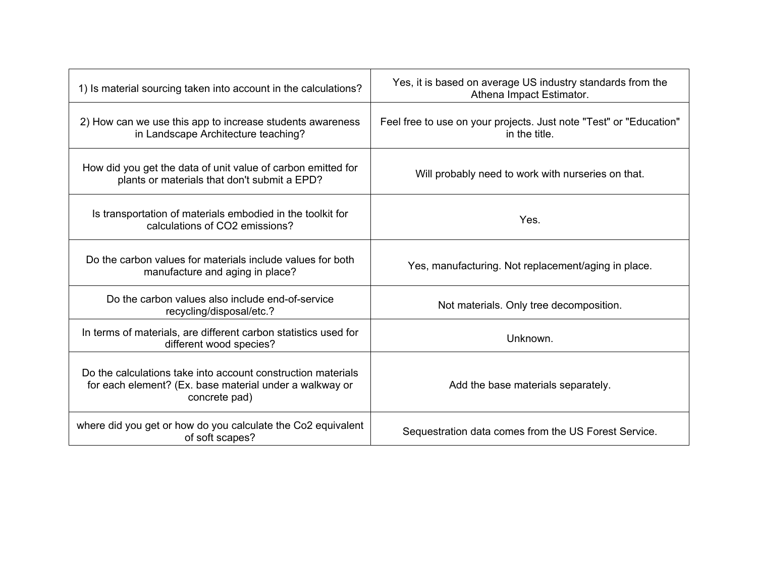| 1) Is material sourcing taken into account in the calculations?                                                                          | Yes, it is based on average US industry standards from the<br>Athena Impact Estimator. |
|------------------------------------------------------------------------------------------------------------------------------------------|----------------------------------------------------------------------------------------|
| 2) How can we use this app to increase students awareness<br>in Landscape Architecture teaching?                                         | Feel free to use on your projects. Just note "Test" or "Education"<br>in the title.    |
| How did you get the data of unit value of carbon emitted for<br>plants or materials that don't submit a EPD?                             | Will probably need to work with nurseries on that.                                     |
| Is transportation of materials embodied in the toolkit for<br>calculations of CO2 emissions?                                             | Yes.                                                                                   |
| Do the carbon values for materials include values for both<br>manufacture and aging in place?                                            | Yes, manufacturing. Not replacement/aging in place.                                    |
| Do the carbon values also include end-of-service<br>recycling/disposal/etc.?                                                             | Not materials. Only tree decomposition.                                                |
| In terms of materials, are different carbon statistics used for<br>different wood species?                                               | Unknown.                                                                               |
| Do the calculations take into account construction materials<br>for each element? (Ex. base material under a walkway or<br>concrete pad) | Add the base materials separately.                                                     |
| where did you get or how do you calculate the Co2 equivalent<br>of soft scapes?                                                          | Sequestration data comes from the US Forest Service.                                   |